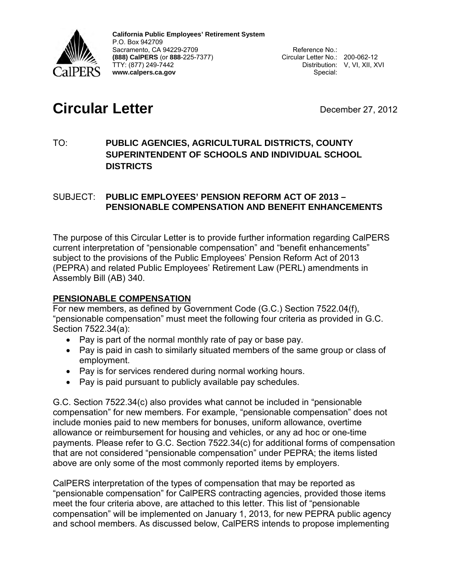

 P.O. Box 942709 Sacramento, CA 94229-2709 Reference No.: TTY: (877) 249-7442 TTY: (877) 249-7442 Distribution:<br>**www.calpers.ca.gov** Special: **California Public Employees' Retirement System (888) CalPERS (or 888-225-7377)** 

# **Circular Letter Circular Letter**

## TO: **PUBLIC AGENCIES, AGRICULTURAL DISTRICTS, COUNTY SUPERINTENDENT OF SCHOOLS AND INDIVIDUAL SCHOOL DISTRICTS**

#### SUBJECT: **PUBLIC EMPLOYEES' PENSION REFORM ACT OF 2013 – PENSIONABLE COMPENSATION AND BENEFIT ENHANCEMENTS**

 The purpose of this Circular Letter is to provide further information regarding CalPERS current interpretation of "pensionable compensation" and "benefit enhancements" subject to the provisions of the Public Employees' Pension Reform Act of 2013 (PEPRA) and related Public Employees' Retirement Law (PERL) amendments in Assembly Bill (AB) 340.

### **PENSIONABLE COMPENSATION**

 For new members, as defined by Government Code (G.C.) Section 7522.04(f), "pensionable compensation" must meet the following four criteria as provided in G.C. Section 7522.34(a):

- Pay is part of the normal monthly rate of pay or base pay.
- Pay is paid in cash to similarly situated members of the same group or class of employment.
- Pay is for services rendered during normal working hours.
- Pay is paid pursuant to publicly available pay schedules.

 G.C. Section 7522.34(c) also provides what cannot be included in "pensionable compensation" for new members. For example, "pensionable compensation" does not include monies paid to new members for bonuses, uniform allowance, overtime allowance or reimbursement for housing and vehicles, or any ad hoc or one-time payments. Please refer to G.C. Section 7522.34(c) for additional forms of compensation that are not considered "pensionable compensation" under PEPRA; the items listed above are only some of the most commonly reported items by employers.

 CalPERS interpretation of the types of compensation that may be reported as "pensionable compensation" for CalPERS contracting agencies, provided those items meet the four criteria above, are attached to this letter. This list of "pensionable compensation" will be implemented on January 1, 2013, for new PEPRA public agency and school members. As discussed below, CalPERS intends to propose implementing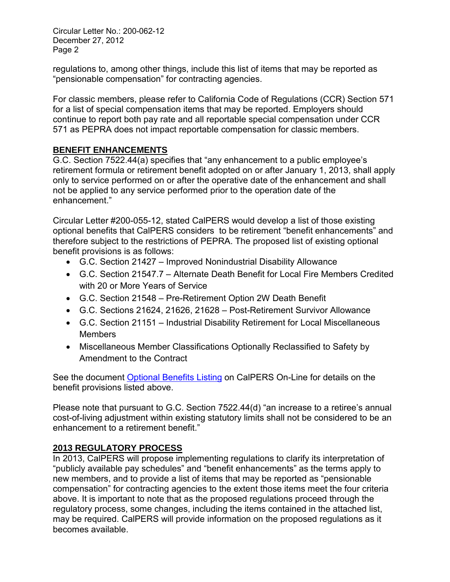Circular Letter No.: 200-062-12 December 27, 2012 Page 2

 regulations to, among other things, include this list of items that may be reported as "pensionable compensation" for contracting agencies.

 For classic members, please refer to California Code of Regulations (CCR) Section 571 for a list of special compensation items that may be reported. Employers should continue to report both pay rate and all reportable special compensation under CCR 571 as PEPRA does not impact reportable compensation for classic members.

#### **BENEFIT ENHANCEMENTS**

 G.C. Section 7522.44(a) specifies that "any enhancement to a public employee's retirement formula or retirement benefit adopted on or after January 1, 2013, shall apply only to service performed on or after the operative date of the enhancement and shall not be applied to any service performed prior to the operation date of the enhancement."

 Circular Letter #200-055-12, stated CalPERS would develop a list of those existing optional benefits that CalPERS considers to be retirement "benefit enhancements" and therefore subject to the restrictions of PEPRA. The proposed list of existing optional benefit provisions is as follows:

- • G.C. Section 21427 Improved Nonindustrial Disability Allowance
- G.C. Section 21547.7 Alternate Death Benefit for Local Fire Members Credited with 20 or More Years of Service
- • G.C. Section 21548 Pre-Retirement Option 2W Death Benefit
- • G.C. Sections 21624, 21626, 21628 Post-Retirement Survivor Allowance
- G.C. Section 21151 Industrial Disability Retirement for Local Miscellaneous **Members**
- Miscellaneous Member Classifications Optionally Reclassified to Safety by Amendment to the Contract

See the document [Optional Benefits Listing](http://www.calpers.ca.gov/eip-docs/employer/program-services/retirement/contract-info/optional-benefits/optional-benefits-listing-2012.pdf) on CalPERS On-Line for details on the benefit provisions listed above.

 Please note that pursuant to G.C. Section 7522.44(d) "an increase to a retiree's annual cost-of-living adjustment within existing statutory limits shall not be considered to be an enhancement to a retirement benefit."

### **2013 REGULATORY PROCESS**

 In 2013, CalPERS will propose implementing regulations to clarify its interpretation of "publicly available pay schedules" and "benefit enhancements" as the terms apply to new members, and to provide a list of items that may be reported as "pensionable compensation" for contracting agencies to the extent those items meet the four criteria above. It is important to note that as the proposed regulations proceed through the regulatory process, some changes, including the items contained in the attached list, may be required. CalPERS will provide information on the proposed regulations as it becomes available.